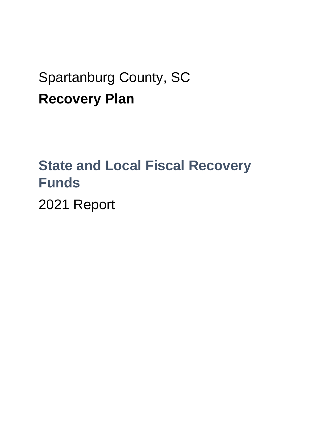## Spartanburg County, SC **Recovery Plan**

# **State and Local Fiscal Recovery Funds**

2021 Report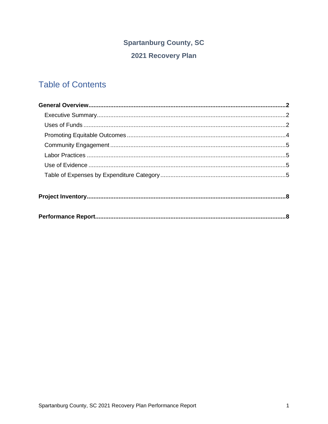### **Spartanburg County, SC**

### 2021 Recovery Plan

## **Table of Contents**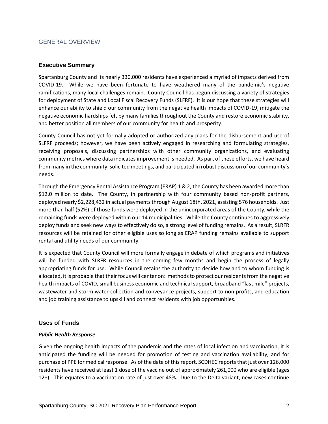#### GENERAL OVERVIEW

#### **Executive Summary**

Spartanburg County and its nearly 330,000 residents have experienced a myriad of impacts derived from COVID-19. While we have been fortunate to have weathered many of the pandemic's negative ramifications, many local challenges remain. County Council has begun discussing a variety of strategies for deployment of State and Local Fiscal Recovery Funds (SLFRF). It is our hope that these strategies will enhance our ability to shield our community from the negative health impacts of COVID-19, mitigate the negative economic hardships felt by many families throughout the County and restore economic stability, and better position all members of our community for health and prosperity.

County Council has not yet formally adopted or authorized any plans for the disbursement and use of SLFRF proceeds; however, we have been actively engaged in researching and formulating strategies, receiving proposals, discussing partnerships with other community organizations, and evaluating community metrics where data indicates improvement is needed. As part of these efforts, we have heard from many in the community, solicited meetings, and participated in robust discussion of our community's needs.

Through the Emergency Rental Assistance Program (ERAP) 1 & 2, the County has been awarded more than \$12.0 million to date. The County, in partnership with four community based non-profit partners, deployed nearly \$2,228,432 in actual payments through August 18th, 2021, assisting 576 households. Just more than half (52%) of those funds were deployed in the unincorporated areas of the County, while the remaining funds were deployed within our 14 municipalities. While the County continues to aggressively deploy funds and seek new ways to effectively do so, a strong level of funding remains. As a result, SLRFR resources will be retained for other eligible uses so long as ERAP funding remains available to support rental and utility needs of our community.

It is expected that County Council will more formally engage in debate of which programs and initiatives will be funded with SLRFR resources in the coming few months and begin the process of legally appropriating funds for use. While Council retains the authority to decide how and to whom funding is allocated, it is probable that their focus will center on: methods to protect our residents from the negative health impacts of COVID, small business economic and technical support, broadband "last mile" projects, wastewater and storm water collection and conveyance projects, support to non-profits, and education and job training assistance to upskill and connect residents with job opportunities.

#### **Uses of Funds**

#### *Public Health Response*

Given the ongoing health impacts of the pandemic and the rates of local infection and vaccination, it is anticipated the funding will be needed for promotion of testing and vaccination availability, and for purchase of PPE for medical response. As of the date of this report, SCDHEC reports that just over 126,000 residents have received at least 1 dose of the vaccine out of approximately 261,000 who are eligible (ages 12+). This equates to a vaccination rate of just over 48%. Due to the Delta variant, new cases continue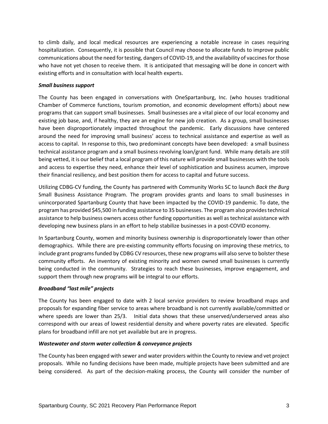to climb daily, and local medical resources are experiencing a notable increase in cases requiring hospitalization. Consequently, it is possible that Council may choose to allocate funds to improve public communications about the need for testing, dangers of COVID-19, and the availability of vaccines for those who have not yet chosen to receive them. It is anticipated that messaging will be done in concert with existing efforts and in consultation with local health experts.

#### *Small business support*

The County has been engaged in conversations with OneSpartanburg, Inc. (who houses traditional Chamber of Commerce functions, tourism promotion, and economic development efforts) about new programs that can support small businesses. Small businesses are a vital piece of our local economy and existing job base, and, if healthy, they are an engine for new job creation. As a group, small businesses have been disproportionately impacted throughout the pandemic. Early discussions have centered around the need for improving small business' access to technical assistance and expertise as well as access to capital. In response to this, two predominant concepts have been developed: a small business technical assistance program and a small business revolving loan/grant fund. While many details are still being vetted, it is our belief that a local program of this nature will provide small businesses with the tools and access to expertise they need, enhance their level of sophistication and business acumen, improve their financial resiliency, and best position them for access to capital and future success.

Utilizing CDBG-CV funding, the County has partnered with Community Works SC to launch *Back the Burg* Small Business Assistance Program. The program provides grants and loans to small businesses in unincorporated Spartanburg County that have been impacted by the COVID-19 pandemic. To date, the program has provided \$45,500 in funding assistance to 35 businesses. The program also provides technical assistance to help business owners access other funding opportunities as well as technical assistance with developing new business plans in an effort to help stabilize businesses in a post-COVID economy.

In Spartanburg County, women and minority business ownership is disproportionately lower than other demographics. While there are pre-existing community efforts focusing on improving these metrics, to include grant programs funded by CDBG CV resources, these new programs will also serve to bolster these community efforts. An inventory of existing minority and women owned small businesses is currently being conducted in the community. Strategies to reach these businesses, improve engagement, and support them through new programs will be integral to our efforts.

#### *Broadband "last mile" projects*

The County has been engaged to date with 2 local service providers to review broadband maps and proposals for expanding fiber service to areas where broadband is not currently available/committed or where speeds are lower than 25/3. Initial data shows that these unserved/underserved areas also correspond with our areas of lowest residential density and where poverty rates are elevated. Specific plans for broadband infill are not yet available but are in progress.

#### *Wastewater and storm water collection & conveyance projects*

The County has been engaged with sewer and water providers within the County to review and vet project proposals. While no funding decisions have been made, multiple projects have been submitted and are being considered. As part of the decision-making process, the County will consider the number of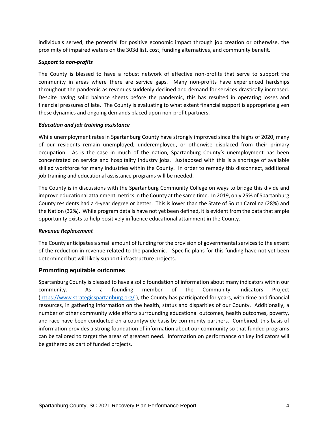individuals served, the potential for positive economic impact through job creation or otherwise, the proximity of impaired waters on the 303d list, cost, funding alternatives, and community benefit.

#### *Support to non-profits*

The County is blessed to have a robust network of effective non-profits that serve to support the community in areas where there are service gaps. Many non-profits have experienced hardships throughout the pandemic as revenues suddenly declined and demand for services drastically increased. Despite having solid balance sheets before the pandemic, this has resulted in operating losses and financial pressures of late. The County is evaluating to what extent financial support is appropriate given these dynamics and ongoing demands placed upon non-profit partners.

#### *Education and job training assistance*

While unemployment rates in Spartanburg County have strongly improved since the highs of 2020, many of our residents remain unemployed, underemployed, or otherwise displaced from their primary occupation. As is the case in much of the nation, Spartanburg County's unemployment has been concentrated on service and hospitality industry jobs. Juxtaposed with this is a shortage of available skilled workforce for many industries within the County. In order to remedy this disconnect, additional job training and educational assistance programs will be needed.

The County is in discussions with the Spartanburg Community College on ways to bridge this divide and improve educational attainment metrics in the County at the same time. In 2019, only 25% of Spartanburg County residents had a 4-year degree or better. This is lower than the State of South Carolina (28%) and the Nation (32%). While program details have not yet been defined, it is evident from the data that ample opportunity exists to help positively influence educational attainment in the County.

#### *Revenue Replacement*

The County anticipates a small amount of funding for the provision of governmental services to the extent of the reduction in revenue related to the pandemic. Specific plans for this funding have not yet been determined but will likely support infrastructure projects.

#### **Promoting equitable outcomes**

Spartanburg County is blessed to have a solid foundation of information about many indicators within our community. As a founding member of the Community Indicators Project [\(https://www.strategicspartanburg.org/](https://www.strategicspartanburg.org/) ), the County has participated for years, with time and financial resources, in gathering information on the health, status and disparities of our County. Additionally, a number of other community wide efforts surrounding educational outcomes, health outcomes, poverty, and race have been conducted on a countywide basis by community partners. Combined, this basis of information provides a strong foundation of information about our community so that funded programs can be tailored to target the areas of greatest need. Information on performance on key indicators will be gathered as part of funded projects.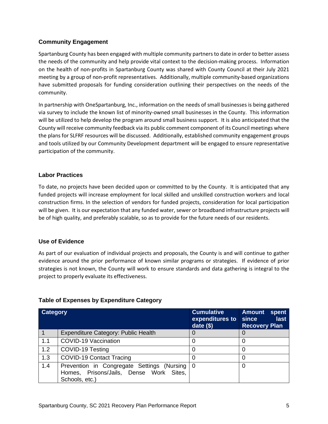#### **Community Engagement**

Spartanburg County has been engaged with multiple community partners to date in order to better assess the needs of the community and help provide vital context to the decision-making process. Information on the health of non-profits in Spartanburg County was shared with County Council at their July 2021 meeting by a group of non-profit representatives. Additionally, multiple community-based organizations have submitted proposals for funding consideration outlining their perspectives on the needs of the community.

In partnership with OneSpartanburg, Inc., information on the needs of small businesses is being gathered via survey to include the known list of minority-owned small businesses in the County. This information will be utilized to help develop the program around small business support. It is also anticipated that the County will receive community feedback via its public comment component of its Council meetings where the plans for SLFRF resources will be discussed. Additionally, established community engagement groups and tools utilized by our Community Development department will be engaged to ensure representative participation of the community.

#### **Labor Practices**

To date, no projects have been decided upon or committed to by the County. It is anticipated that any funded projects will increase employment for local skilled and unskilled construction workers and local construction firms. In the selection of vendors for funded projects, consideration for local participation will be given. It is our expectation that any funded water, sewer or broadband infrastructure projects will be of high quality, and preferably scalable, so as to provide for the future needs of our residents.

#### **Use of Evidence**

As part of our evaluation of individual projects and proposals, the County is and will continue to gather evidence around the prior performance of known similar programs or strategies. If evidence of prior strategies is not known, the County will work to ensure standards and data gathering is integral to the project to properly evaluate its effectiveness.

#### **Table of Expenses by Expenditure Category**

| Category |                                                                                                           | <b>Cumulative</b><br>expenditures to<br>date $($ \$) | <b>Amount</b><br>spent<br>last<br>since<br><b>Recovery Plan</b> |
|----------|-----------------------------------------------------------------------------------------------------------|------------------------------------------------------|-----------------------------------------------------------------|
|          | Expenditure Category: Public Health                                                                       |                                                      | 0                                                               |
| 1.1      | COVID-19 Vaccination                                                                                      |                                                      | 0                                                               |
| 1.2      | COVID-19 Testing                                                                                          |                                                      | 0                                                               |
| 1.3      | <b>COVID-19 Contact Tracing</b>                                                                           |                                                      | 0                                                               |
| 1.4      | Prevention in Congregate Settings (Nursing 0<br>Homes, Prisons/Jails, Dense Work Sites,<br>Schools, etc.) |                                                      | O                                                               |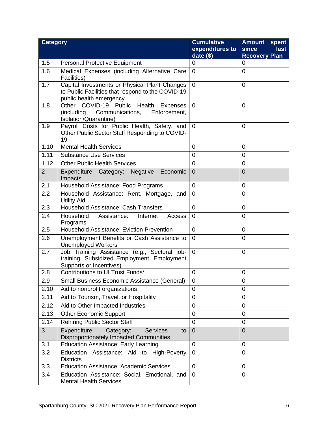| <b>Category</b> |                                                                                                                               | <b>Cumulative</b><br>expenditures to<br>date $(\$)$ | <b>Amount</b><br>spent<br>since<br>last<br><b>Recovery Plan</b> |
|-----------------|-------------------------------------------------------------------------------------------------------------------------------|-----------------------------------------------------|-----------------------------------------------------------------|
| 1.5             | <b>Personal Protective Equipment</b>                                                                                          | 0                                                   | 0                                                               |
| 1.6             | Medical Expenses (including Alternative Care<br>Facilities)                                                                   | $\mathbf 0$                                         | $\overline{0}$                                                  |
| 1.7             | Capital Investments or Physical Plant Changes<br>to Public Facilities that respond to the COVID-19<br>public health emergency | $\overline{0}$                                      | $\overline{0}$                                                  |
| 1.8             | Other COVID-19 Public<br>Health<br>Expenses<br>(including<br>Communications,<br>Enforcement,<br>Isolation/Quarantine)         | $\overline{0}$                                      | $\overline{0}$                                                  |
| 1.9             | Payroll Costs for Public Health, Safety, and<br>Other Public Sector Staff Responding to COVID-<br>19                          | $\Omega$                                            | 0                                                               |
| 1.10            | <b>Mental Health Services</b>                                                                                                 | $\overline{0}$                                      | $\overline{0}$                                                  |
| 1.11            | <b>Substance Use Services</b>                                                                                                 | 0                                                   | 0                                                               |
| 1.12            | <b>Other Public Health Services</b>                                                                                           | $\mathbf 0$                                         | $\mathbf 0$                                                     |
| 2               | Expenditure Category: Negative Economic<br>Impacts                                                                            | $\mathbf 0$                                         | $\overline{0}$                                                  |
| 2.1             | Household Assistance: Food Programs                                                                                           | $\mathbf 0$                                         | $\mathbf 0$                                                     |
| 2.2             | Household Assistance: Rent, Mortgage, and<br><b>Utility Aid</b>                                                               | $\mathbf 0$                                         | $\overline{0}$                                                  |
| 2.3             | Household Assistance: Cash Transfers                                                                                          | $\overline{0}$                                      | $\overline{0}$                                                  |
| 2.4             | Household<br>Assistance:<br>Internet<br>Access<br>Programs                                                                    | $\mathbf 0$                                         | $\overline{0}$                                                  |
| 2.5             | <b>Household Assistance: Eviction Prevention</b>                                                                              | $\mathbf 0$                                         | $\mathbf 0$                                                     |
| 2.6             | Unemployment Benefits or Cash Assistance to<br><b>Unemployed Workers</b>                                                      | $\mathbf 0$                                         | $\overline{0}$                                                  |
| 2.7             | Job Training Assistance (e.g., Sectoral job-<br>training, Subsidized Employment, Employment<br>Supports or Incentives)        | $\overline{0}$                                      | $\overline{0}$                                                  |
| 2.8             | Contributions to UI Trust Funds*                                                                                              | $\mathbf 0$                                         | $\mathbf 0$                                                     |
| 2.9             | Small Business Economic Assistance (General)                                                                                  | 0                                                   | 0                                                               |
| 2.10            | Aid to nonprofit organizations                                                                                                | $\overline{0}$                                      | $\overline{0}$                                                  |
| 2.11            | Aid to Tourism, Travel, or Hospitality                                                                                        | $\mathbf 0$                                         | $\overline{0}$                                                  |
| 2.12            | Aid to Other Impacted Industries                                                                                              | 0                                                   | $\mathbf 0$                                                     |
| 2.13            | <b>Other Economic Support</b>                                                                                                 | $\mathbf 0$                                         | $\overline{0}$                                                  |
| 2.14            | <b>Rehiring Public Sector Staff</b>                                                                                           | $\mathbf 0$                                         | $\mathbf 0$                                                     |
| 3               | Expenditure<br>Category:<br><b>Services</b><br>to<br>Disproportionately Impacted Communities                                  | $\overline{0}$                                      | $\overline{0}$                                                  |
| 3.1             | <b>Education Assistance: Early Learning</b>                                                                                   | $\mathbf 0$                                         | $\mathbf{0}$                                                    |
| 3.2             | Education Assistance: Aid to High-Poverty<br><b>Districts</b>                                                                 | $\mathbf 0$                                         | 0                                                               |
| 3.3             | <b>Education Assistance: Academic Services</b>                                                                                | $\mathbf 0$                                         | 0                                                               |
| 3.4             | Education Assistance: Social, Emotional, and<br><b>Mental Health Services</b>                                                 | $\mathbf 0$                                         | $\overline{0}$                                                  |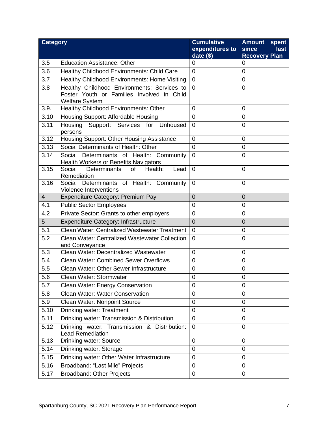| <b>Category</b> |                                                                                           | <b>Cumulative</b> | <b>Amount</b><br>spent |
|-----------------|-------------------------------------------------------------------------------------------|-------------------|------------------------|
|                 |                                                                                           | expenditures to   | since<br>last          |
| 3.5             | <b>Education Assistance: Other</b>                                                        | date $($)$        | <b>Recovery Plan</b>   |
|                 |                                                                                           | 0                 | 0<br>$\overline{0}$    |
| 3.6             | Healthy Childhood Environments: Child Care                                                | $\mathbf 0$       |                        |
| 3.7             | Healthy Childhood Environments: Home Visiting                                             | $\overline{0}$    | $\overline{0}$         |
| 3.8             | Healthy Childhood Environments: Services to<br>Foster Youth or Families Involved in Child | $\overline{0}$    | $\mathbf 0$            |
|                 | <b>Welfare System</b>                                                                     |                   |                        |
| 3.9.            | Healthy Childhood Environments: Other                                                     | $\overline{0}$    | $\overline{0}$         |
| 3.10            | Housing Support: Affordable Housing                                                       | 0                 | $\mathbf 0$            |
| 3.11            | Housing Support: Services for Unhoused                                                    | $\overline{0}$    | 0                      |
|                 | persons                                                                                   |                   |                        |
| 3.12            | Housing Support: Other Housing Assistance                                                 | $\mathbf 0$       | $\overline{0}$         |
| 3.13            | Social Determinants of Health: Other                                                      | $\mathbf 0$       | $\mathbf 0$            |
| 3.14            | Social Determinants of Health: Community                                                  | $\mathbf 0$       | 0                      |
|                 | <b>Health Workers or Benefits Navigators</b>                                              |                   |                        |
| 3.15            | Social<br>Determinants<br>of<br>Health:<br>Lead<br>Remediation                            | $\overline{0}$    | $\overline{0}$         |
| 3.16            | Social Determinants of Health: Community                                                  | $\overline{0}$    | $\overline{0}$         |
|                 | <b>Violence Interventions</b>                                                             |                   |                        |
| $\overline{4}$  | Expenditure Category: Premium Pay                                                         | $\overline{0}$    | $\overline{0}$         |
| 4.1             | <b>Public Sector Employees</b>                                                            | 0                 | $\overline{0}$         |
| 4.2             | Private Sector: Grants to other employers                                                 | $\mathbf 0$       | $\overline{0}$         |
| 5 <sup>5</sup>  | <b>Expenditure Category: Infrastructure</b>                                               | $\overline{0}$    | $\overline{0}$         |
| 5.1             | <b>Clean Water: Centralized Wastewater Treatment</b>                                      | $\mathbf 0$       | $\mathbf 0$            |
| 5.2             | <b>Clean Water: Centralized Wastewater Collection</b>                                     | $\mathbf 0$       | $\overline{0}$         |
|                 | and Conveyance                                                                            |                   |                        |
| 5.3             | Clean Water: Decentralized Wastewater                                                     | $\overline{0}$    | $\overline{0}$         |
| 5.4             | <b>Clean Water: Combined Sewer Overflows</b>                                              | $\mathbf 0$       | $\mathbf 0$            |
| 5.5             | Clean Water: Other Sewer Infrastructure                                                   | $\mathbf 0$       | $\mathbf 0$            |
| 5.6             | Clean Water: Stormwater                                                                   | $\mathbf 0$       | $\overline{0}$         |
| 5.7             | Clean Water: Energy Conservation                                                          | 0                 | 0                      |
| 5.8             | Clean Water: Water Conservation                                                           | 0                 | $\overline{0}$         |
| 5.9             | Clean Water: Nonpoint Source                                                              | $\mathbf 0$       | 0                      |
| 5.10            | Drinking water: Treatment                                                                 | $\mathbf 0$       | $\mathbf 0$            |
| 5.11            | Drinking water: Transmission & Distribution                                               | 0                 | $\mathbf 0$            |
| 5.12            | Drinking water: Transmission & Distribution:                                              | $\mathbf 0$       | $\overline{0}$         |
|                 | <b>Lead Remediation</b>                                                                   |                   |                        |
| 5.13            | Drinking water: Source                                                                    | 0                 | $\mathbf 0$            |
| 5.14            | Drinking water: Storage                                                                   | $\mathbf 0$       | $\mathbf 0$            |
| 5.15            | Drinking water: Other Water Infrastructure                                                | $\mathbf 0$       | $\mathbf 0$            |
| 5.16            | Broadband: "Last Mile" Projects                                                           | $\mathbf 0$       | $\mathbf 0$            |
| 5.17            | <b>Broadband: Other Projects</b>                                                          | 0                 | $\mathbf 0$            |